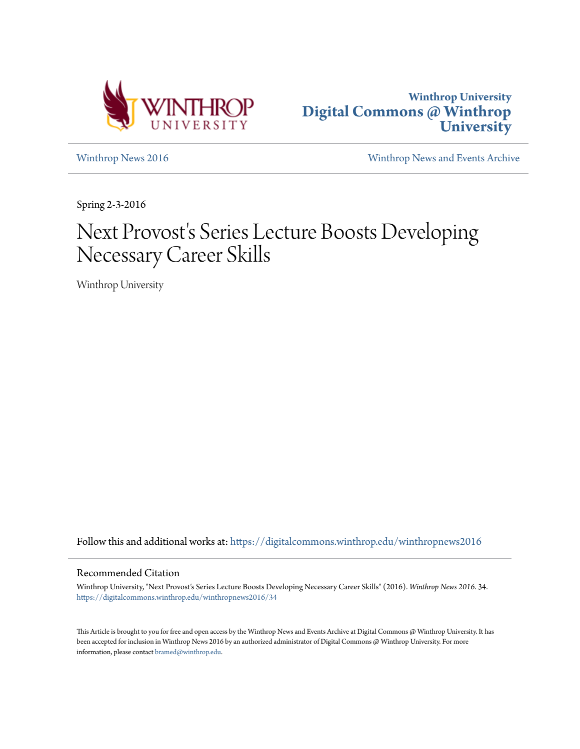



[Winthrop News 2016](https://digitalcommons.winthrop.edu/winthropnews2016?utm_source=digitalcommons.winthrop.edu%2Fwinthropnews2016%2F34&utm_medium=PDF&utm_campaign=PDFCoverPages) [Winthrop News and Events Archive](https://digitalcommons.winthrop.edu/winthropnewsarchives?utm_source=digitalcommons.winthrop.edu%2Fwinthropnews2016%2F34&utm_medium=PDF&utm_campaign=PDFCoverPages)

Spring 2-3-2016

# Next Provost's Series Lecture Boosts Developing Necessary Career Skills

Winthrop University

Follow this and additional works at: [https://digitalcommons.winthrop.edu/winthropnews2016](https://digitalcommons.winthrop.edu/winthropnews2016?utm_source=digitalcommons.winthrop.edu%2Fwinthropnews2016%2F34&utm_medium=PDF&utm_campaign=PDFCoverPages)

## Recommended Citation

Winthrop University, "Next Provost's Series Lecture Boosts Developing Necessary Career Skills" (2016). *Winthrop News 2016*. 34. [https://digitalcommons.winthrop.edu/winthropnews2016/34](https://digitalcommons.winthrop.edu/winthropnews2016/34?utm_source=digitalcommons.winthrop.edu%2Fwinthropnews2016%2F34&utm_medium=PDF&utm_campaign=PDFCoverPages)

This Article is brought to you for free and open access by the Winthrop News and Events Archive at Digital Commons @ Winthrop University. It has been accepted for inclusion in Winthrop News 2016 by an authorized administrator of Digital Commons @ Winthrop University. For more information, please contact [bramed@winthrop.edu](mailto:bramed@winthrop.edu).